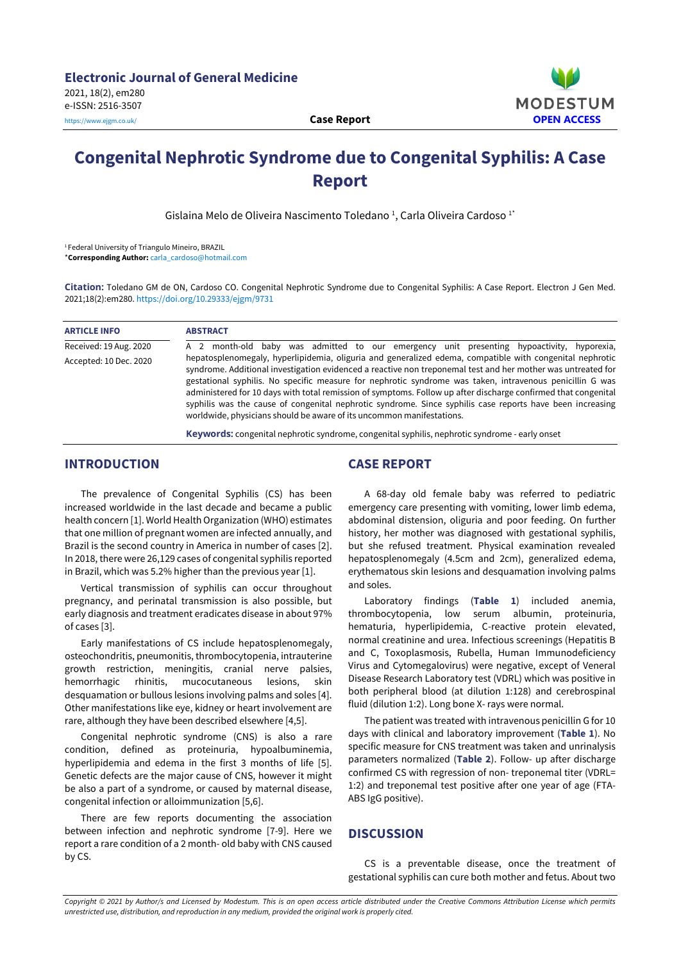

# **Congenital Nephrotic Syndrome due to Congenital Syphilis: A Case Report**

Gislaina Melo de Oliveira Nascimento Toledano <sup>1</sup>, Carla Oliveira Cardoso <sup>1</sup>

<sup>1</sup> Federal University of Triangulo Mineiro, BRAZIL

\***Corresponding Author:** [carla\\_cardoso@hotmail.com](mailto:carla_cardoso@hotmail.com)

**Citation:** Toledano GM de ON, Cardoso CO. Congenital Nephrotic Syndrome due to Congenital Syphilis: A Case Report. Electron J Gen Med. 2021;18(2):em280. <https://doi.org/10.29333/ejgm/9731>

| <b>ARTICLE INFO</b>    | <b>ABSTRACT</b>                                                                                                                                                                                                                                                                                                                                                                                                                                                                                                                                                                                                                                                                                                                                       |
|------------------------|-------------------------------------------------------------------------------------------------------------------------------------------------------------------------------------------------------------------------------------------------------------------------------------------------------------------------------------------------------------------------------------------------------------------------------------------------------------------------------------------------------------------------------------------------------------------------------------------------------------------------------------------------------------------------------------------------------------------------------------------------------|
| Received: 19 Aug. 2020 | A 2 month-old baby was admitted to our emergency unit presenting hypoactivity, hyporexia,                                                                                                                                                                                                                                                                                                                                                                                                                                                                                                                                                                                                                                                             |
| Accepted: 10 Dec. 2020 | hepatosplenomegaly, hyperlipidemia, oliguria and generalized edema, compatible with congenital nephrotic<br>syndrome. Additional investigation evidenced a reactive non treponemal test and her mother was untreated for<br>gestational syphilis. No specific measure for nephrotic syndrome was taken, intravenous penicillin G was<br>administered for 10 days with total remission of symptoms. Follow up after discharge confirmed that congenital<br>syphilis was the cause of congenital nephrotic syndrome. Since syphilis case reports have been increasing<br>worldwide, physicians should be aware of its uncommon manifestations.<br><b>Keywords:</b> congenital nephrotic syndrome, congenital syphilis, nephrotic syndrome - early onset |

#### **INTRODUCTION**

The prevalence of Congenital Syphilis (CS) has been increased worldwide in the last decade and became a public health concern [1]. World Health Organization (WHO) estimates that one million of pregnant women are infected annually, and Brazil is the second country in America in number of cases [2]. In 2018, there were 26,129 cases of congenital syphilis reported in Brazil, which was 5.2% higher than the previous year [1].

Vertical transmission of syphilis can occur throughout pregnancy, and perinatal transmission is also possible, but early diagnosis and treatment eradicates disease in about 97% of cases [3].

Early manifestations of CS include hepatosplenomegaly, osteochondritis, pneumonitis, thrombocytopenia, intrauterine growth restriction, meningitis, cranial nerve palsies, hemorrhagic rhinitis, mucocutaneous lesions, skin desquamation or bullous lesions involving palms and soles [4]. Other manifestations like eye, kidney or heart involvement are rare, although they have been described elsewhere [4,5].

Congenital nephrotic syndrome (CNS) is also a rare condition, defined as proteinuria, hypoalbuminemia, hyperlipidemia and edema in the first 3 months of life [5]. Genetic defects are the major cause of CNS, however it might be also a part of a syndrome, or caused by maternal disease, congenital infection or alloimmunization [5,6].

There are few reports documenting the association between infection and nephrotic syndrome [7-9]. Here we report a rare condition of a 2 month- old baby with CNS caused by CS.

# **CASE REPORT**

A 68-day old female baby was referred to pediatric emergency care presenting with vomiting, lower limb edema, abdominal distension, oliguria and poor feeding. On further history, her mother was diagnosed with gestational syphilis, but she refused treatment. Physical examination revealed hepatosplenomegaly (4.5cm and 2cm), generalized edema, erythematous skin lesions and desquamation involving palms and soles.

Laboratory findings (**Table 1**) included anemia, thrombocytopenia, low serum albumin, proteinuria, hematuria, hyperlipidemia, C-reactive protein elevated, normal creatinine and urea. Infectious screenings (Hepatitis B and C, Toxoplasmosis, Rubella, Human Immunodeficiency Virus and Cytomegalovirus) were negative, except of Veneral Disease Research Laboratory test (VDRL) which was positive in both peripheral blood (at dilution 1:128) and cerebrospinal fluid (dilution 1:2). Long bone X- rays were normal.

The patient was treated with intravenous penicillin G for 10 days with clinical and laboratory improvement (**Table 1**). No specific measure for CNS treatment was taken and unrinalysis parameters normalized (**Table 2**). Follow- up after discharge confirmed CS with regression of non- treponemal titer (VDRL= 1:2) and treponemal test positive after one year of age (FTA-ABS IgG positive).

### **DISCUSSION**

CS is a preventable disease, once the treatment of gestational syphilis can cure both mother and fetus. About two

Copyright © 2021 by Author/s and Licensed by Modestum. This is an open access article distributed under the Creative Commons Attribution License which permits *unrestricted use, distribution, and reproduction in any medium, provided the original work is properly cited.*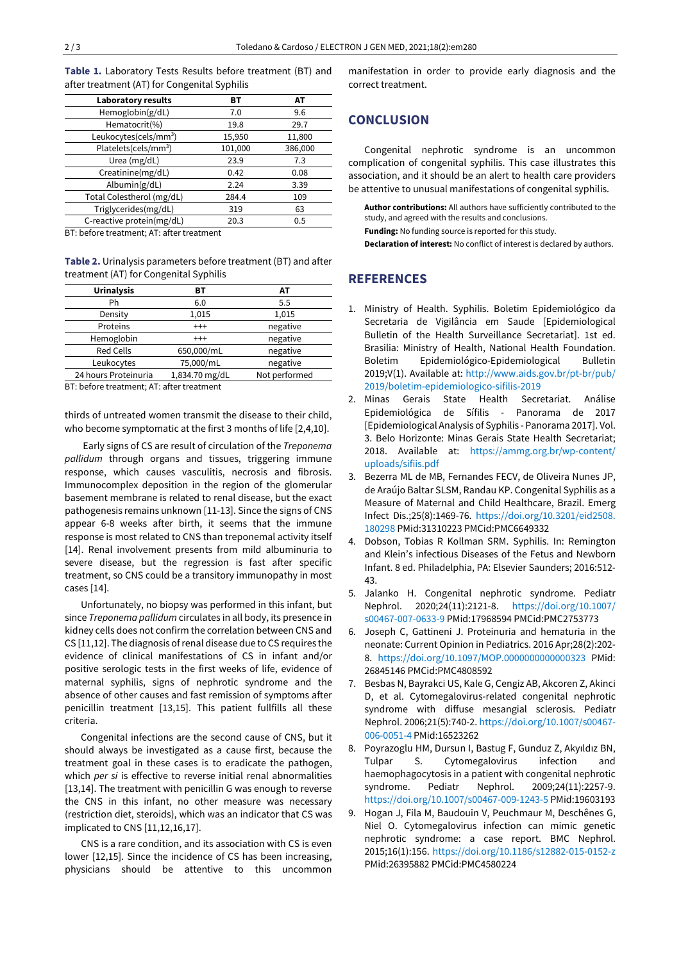**Table 1.** Laboratory Tests Results before treatment (BT) and after treatment (AT) for Congenital Syphilis

| <b>Laboratory results</b>         | вт      | АΤ      |
|-----------------------------------|---------|---------|
| Hemoglobin(g/dL)                  | 7.0     | 9.6     |
| Hematocrit(%)                     | 19.8    | 29.7    |
| Leukocytes(cels/mm <sup>3</sup> ) | 15,950  | 11,800  |
| Platelets(cels/mm <sup>3</sup> )  | 101,000 | 386,000 |
| Urea (mg/dL)                      | 23.9    | 7.3     |
| Creatinine(mg/dL)                 | 0.42    | 0.08    |
| Albumin(g/dL)                     | 2.24    | 3.39    |
| Total Colestherol (mg/dL)         | 284.4   | 109     |
| Triglycerides(mg/dL)              | 319     | 63      |
| C-reactive protein(mg/dL)         | 20.3    | 0.5     |

BT: before treatment; AT: after treatment

**Table 2.** Urinalysis parameters before treatment (BT) and after treatment (AT) for Congenital Syphilis

| <b>Urinalysis</b>    | вт             | AТ            |
|----------------------|----------------|---------------|
| Ph                   | 6.0            | 5.5           |
| Density              | 1,015          | 1,015         |
| Proteins             | $^{+++}$       | negative      |
| Hemoglobin           | $^{+++}$       | negative      |
| <b>Red Cells</b>     | 650,000/mL     | negative      |
| Leukocytes           | 75,000/mL      | negative      |
| 24 hours Proteinuria | 1,834.70 mg/dL | Not performed |

BT: before treatment; AT: after treatment

thirds of untreated women transmit the disease to their child, who become symptomatic at the first 3 months of life [2,4,10].

Early signs of CS are result of circulation of the *Treponema pallidum* through organs and tissues, triggering immune response, which causes vasculitis, necrosis and fibrosis. Immunocomplex deposition in the region of the glomerular basement membrane is related to renal disease, but the exact pathogenesis remains unknown [11-13]. Since the signs of CNS appear 6-8 weeks after birth, it seems that the immune response is most related to CNS than treponemal activity itself [14]. Renal involvement presents from mild albuminuria to severe disease, but the regression is fast after specific treatment, so CNS could be a transitory immunopathy in most cases [14].

Unfortunately, no biopsy was performed in this infant, but since *Treponema pallidum* circulates in all body, its presence in kidney cells does not confirm the correlation between CNS and CS [11,12]. The diagnosis ofrenal disease due to CS requires the evidence of clinical manifestations of CS in infant and/or positive serologic tests in the first weeks of life, evidence of maternal syphilis, signs of nephrotic syndrome and the absence of other causes and fast remission of symptoms after penicillin treatment [13,15]. This patient fullfills all these criteria.

Congenital infections are the second cause of CNS, but it should always be investigated as a cause first, because the treatment goal in these cases is to eradicate the pathogen, which *per si* is effective to reverse initial renal abnormalities [13,14]. The treatment with penicillin G was enough to reverse the CNS in this infant, no other measure was necessary (restriction diet, steroids), which was an indicator that CS was implicated to CNS [11,12,16,17].

CNS is a rare condition, and its association with CS is even lower [12,15]. Since the incidence of CS has been increasing, physicians should be attentive to this uncommon manifestation in order to provide early diagnosis and the correct treatment.

## **CONCLUSION**

Congenital nephrotic syndrome is an uncommon complication of congenital syphilis. This case illustrates this association, and it should be an alert to health care providers be attentive to unusual manifestations of congenital syphilis.

**Author contributions:** All authors have sufficiently contributed to the study, and agreed with the results and conclusions.

**Funding:** No funding source is reported for this study.

**Declaration of interest:** No conflict of interest is declared by authors.

#### **REFERENCES**

- 1. Ministry of Health. Syphilis. Boletim Epidemiológico da Secretaria de Vigilância em Saude [Epidemiological Bulletin of the Health Surveillance Secretariat]. 1st ed. Brasilia: Ministry of Health, National Health Foundation. Boletim Epidemiológico-Epidemiological Bulletin 2019;V(1). Available at: [http://www.aids.gov.br/pt-br/pub/](http://www.aids.gov.br/pt-br/pub/2019/boletim-epidemiologico-sifilis-2019) [2019/boletim-epidemiologico-sifilis-2019](http://www.aids.gov.br/pt-br/pub/2019/boletim-epidemiologico-sifilis-2019)
- 2. Minas Gerais State Health Secretariat. Análise Epidemiológica de Sífilis - Panorama de 2017 [Epidemiological Analysis of Syphilis - Panorama 2017]. Vol. 3. Belo Horizonte: Minas Gerais State Health Secretariat; 2018. Available at: [https://ammg.org.br/wp-content/](https://ammg.org.br/wp-content/uploads/sifiis.pdf) [uploads/sifiis.pdf](https://ammg.org.br/wp-content/uploads/sifiis.pdf)
- 3. Bezerra ML de MB, Fernandes FECV, de Oliveira Nunes JP, de Araújo Baltar SLSM, Randau KP. Congenital Syphilis as a Measure of Maternal and Child Healthcare, Brazil. Emerg Infect Dis.;25(8):1469-76. [https://doi.org/10.3201/eid2508.](https://doi.org/10.3201/eid2508.180298) [180298](https://doi.org/10.3201/eid2508.180298) PMid:31310223 PMCid:PMC6649332
- 4. Dobson, Tobias R Kollman SRM. Syphilis. In: Remington and Klein's infectious Diseases of the Fetus and Newborn Infant. 8 ed. Philadelphia, PA: Elsevier Saunders; 2016:512- 43.
- 5. Jalanko H. Congenital nephrotic syndrome. Pediatr Nephrol. 2020;24(11):2121-8. [https://doi.org/10.1007/](https://doi.org/10.1007/s00467-007-0633-9) [s00467-007-0633-9](https://doi.org/10.1007/s00467-007-0633-9) PMid:17968594 PMCid:PMC2753773
- 6. Joseph C, Gattineni J. Proteinuria and hematuria in the neonate: Current Opinion in Pediatrics. 2016 Apr;28(2):202- 8. <https://doi.org/10.1097/MOP.0000000000000323> PMid: 26845146 PMCid:PMC4808592
- 7. Besbas N, Bayrakci US, Kale G, Cengiz AB, Akcoren Z, Akinci D, et al. Cytomegalovirus-related congenital nephrotic syndrome with diffuse mesangial sclerosis. Pediatr Nephrol. 2006;21(5):740-2. [https://doi.org/10.1007/s00467-](https://doi.org/10.1007/s00467-006-0051-4) [006-0051-4](https://doi.org/10.1007/s00467-006-0051-4) PMid:16523262
- 8. Poyrazoglu HM, Dursun I, Bastug F, Gunduz Z, Akyıldız BN, Tulpar S. Cytomegalovirus infection and haemophagocytosis in a patient with congenital nephrotic syndrome. Pediatr Nephrol. 2009;24(11):2257-9. <https://doi.org/10.1007/s00467-009-1243-5> PMid:19603193
- 9. Hogan J, Fila M, Baudouin V, Peuchmaur M, Deschênes G, Niel O. Cytomegalovirus infection can mimic genetic nephrotic syndrome: a case report. BMC Nephrol. 2015;16(1):156. <https://doi.org/10.1186/s12882-015-0152-z> PMid:26395882 PMCid:PMC4580224